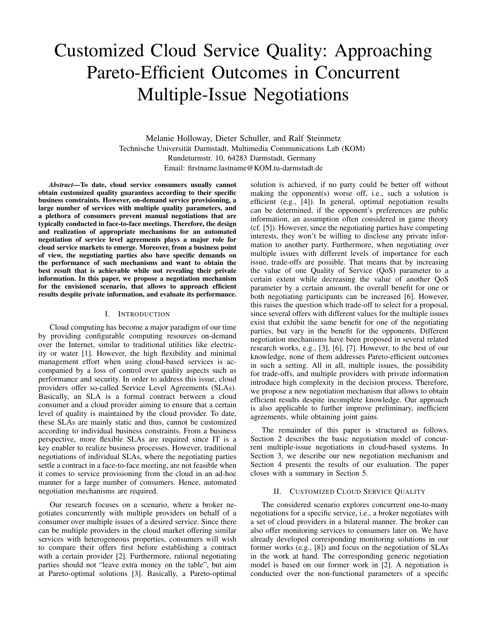# Customized Cloud Service Quality: Approaching Pareto-Efficient Outcomes in Concurrent Multiple-Issue Negotiations

Melanie Holloway, Dieter Schuller, and Ralf Steinmetz Technische Universität Darmstadt, Multimedia Communications Lab (KOM) Rundeturmstr. 10, 64283 Darmstadt, Germany Email: firstname.lastname@KOM.tu-darmstadt.de

*Abstract*—To date, cloud service consumers usually cannot obtain customized quality guarantees according to their specific business constraints. However, on-demand service provisioning, a large number of services with multiple quality parameters, and a plethora of consumers prevent manual negotiations that are typically conducted in face-to-face meetings. Therefore, the design and realization of appropriate mechanisms for an automated negotiation of service level agreements plays a major role for cloud service markets to emerge. Moreover, from a business point of view, the negotiating parties also have specific demands on the performance of such mechanisms and want to obtain the best result that is achievable while not revealing their private information. In this paper, we propose a negotiation mechanism for the envisioned scenario, that allows to approach efficient results despite private information, and evaluate its performance.

## I. INTRODUCTION

Cloud computing has become a major paradigm of our time by providing configurable computing resources on-demand over the Internet, similar to traditional utilities like electricity or water [1]. However, the high flexibility and minimal management effort when using cloud-based services is accompanied by a loss of control over quality aspects such as performance and security. In order to address this issue, cloud providers offer so-called Service Level Agreements (SLAs). Basically, an SLA is a formal contract between a cloud consumer and a cloud provider aiming to ensure that a certain level of quality is maintained by the cloud provider. To date, these SLAs are mainly static and thus, cannot be customized according to individual business constraints. From a business perspective, more flexible SLAs are required since IT is a key enabler to realize business processes. However, traditional negotiations of individual SLAs, where the negotiating parties settle a contract in a face-to-face meeting, are not feasible when it comes to service provisioning from the cloud in an ad-hoc manner for a large number of consumers. Hence, automated negotiation mechanisms are required.

Our research focuses on a scenario, where a broker negotiates concurrently with multiple providers on behalf of a consumer over multiple issues of a desired service. Since there can be multiple providers in the cloud market offering similar services with heterogeneous properties, consumers will wish to compare their offers first before establishing a contract with a certain provider [2]. Furthermore, rational negotiating parties should not "leave extra money on the table", but aim at Pareto-optimal solutions [3]. Basically, a Pareto-optimal solution is achieved, if no party could be better off without making the opponent(s) worse off, i.e., such a solution is efficient (e.g., [4]). In general, optimal negotiation results can be determined, if the opponent's preferences are public information, an assumption often considered in game theory (cf. [5]). However, since the negotiating parties have competing interests, they won't be willing to disclose any private information to another party. Furthermore, when negotiating over multiple issues with different levels of importance for each issue, trade-offs are possible. That means that by increasing the value of one Quality of Service (QoS) parameter to a certain extent while decreasing the value of another QoS parameter by a certain amount, the overall benefit for one or both negotiating participants can be increased [6]. However, this raises the question which trade-off to select for a proposal, since several offers with different values for the multiple issues exist that exhibit the same benefit for one of the negotiating parties, but vary in the benefit for the opponents. Different negotiation mechanisms have been proposed in several related research works, e.g., [3], [6], [7]. However, to the best of our knowledge, none of them addresses Pareto-efficient outcomes in such a setting. All in all, multiple issues, the possibility for trade-offs, and multiple providers with private information introduce high complexity in the decision process. Therefore, we propose a new negotiation mechanism that allows to obtain efficient results despite incomplete knowledge. Our approach is also applicable to further improve preliminary, inefficient agreements, while obtaining joint gains.

The remainder of this paper is structured as follows. Section 2 describes the basic negotiation model of concurrent multiple-issue negotiations in cloud-based systems. In Section 3, we describe our new negotiation mechanism and Section 4 presents the results of our evaluation. The paper closes with a summary in Section 5.

## II. CUSTOMIZED CLOUD SERVICE QUALITY

The considered scenario explores concurrent one-to-many negotiations for a specific service, i.e., a broker negotiates with a set of cloud providers in a bilateral manner. The broker can also offer monitoring services to consumers later on. We have already developed corresponding monitoring solutions in our former works (e.g., [8]) and focus on the negotiation of SLAs in the work at hand. The corresponding generic negotiation model is based on our former work in [2]. A negotiation is conducted over the non-functional parameters of a specific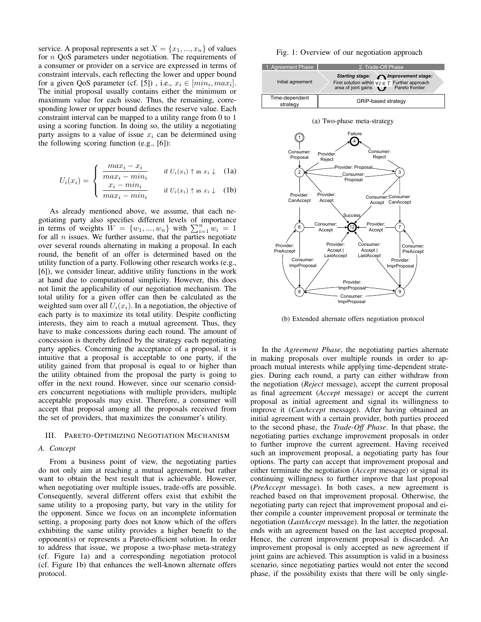service. A proposal represents a set  $X = \{x_1, ..., x_n\}$  of values for n QoS parameters under negotiation. The requirements of a consumer or provider on a service are expressed in terms of constraint intervals, each reflecting the lower and upper bound for a given QoS parameter (cf. [5]), i.e.,  $x_i \in [min_i, max_i]$ . The initial proposal usually contains either the minimum or maximum value for each issue. Thus, the remaining, corresponding lower or upper bound defines the reserve value. Each constraint interval can be mapped to a utility range from 0 to 1 using a scoring function. In doing so, the utility a negotiating party assigns to a value of issue  $x_i$  can be determined using the following scoring function (e.g., [6]):

$$
U_i(x_i) = \begin{cases} \frac{max_i - x_i}{max_i - min_i} & \text{if } U_i(x_i) \uparrow \text{as } x_i \downarrow \quad (1\text{a})\\ x_i - min_i & \text{if } U_i(x_i) \downarrow \text{as } x_i \downarrow \quad (1\text{b}) \end{cases}
$$

$$
i^{(u_i)} = \begin{cases} \frac{x_i - min_i}{max_i - min_i} & \text{if } U_i(x_i) \uparrow \text{as } x_i \downarrow \quad (1b) \end{cases}
$$

As already mentioned above, we assume, that each negotiating party also specifies different levels of importance in terms of weights  $W = \{w_1, ..., w_n\}$  with  $\sum_{i=1}^{n} w_i = 1$ for all  $n$  issues. We further assume, that the parties negotiate over several rounds alternating in making a proposal. In each round, the benefit of an offer is determined based on the utility function of a party. Following other research works (e.g., [6]), we consider linear, additive utility functions in the work at hand due to computational simplicity. However, this does not limit the applicability of our negotiation mechanism. The total utility for a given offer can then be calculated as the weighted sum over all  $U_i(x_i)$ . In a negotiation, the objective of each party is to maximize its total utility. Despite conflicting interests, they aim to reach a mutual agreement. Thus, they have to make concessions during each round. The amount of concession is thereby defined by the strategy each negotiating party applies. Concerning the acceptance of a proposal, it is intuitive that a proposal is acceptable to one party, if the utility gained from that proposal is equal to or higher than the utility obtained from the proposal the party is going to offer in the next round. However, since our scenario considers concurrent negotiations with multiple providers, multiple acceptable proposals may exist. Therefore, a consumer will accept that proposal among all the proposals received from the set of providers, that maximizes the consumer's utility.

## III. PARETO-OPTIMIZING NEGOTIATION MECHANISM

## *A. Concept*

From a business point of view, the negotiating parties do not only aim at reaching a mutual agreement, but rather want to obtain the best result that is achievable. However, when negotiating over multiple issues, trade-offs are possible. Consequently, several different offers exist that exhibit the same utility to a proposing party, but vary in the utility for the opponent. Since we focus on an incomplete information setting, a proposing party does not know which of the offers exhibiting the same utility provides a higher benefit to the opponent(s) or represents a Pareto-efficient solution. In order to address that issue, we propose a two-phase meta-strategy (cf. Figure 1a) and a corresponding negotiation protocol (cf. Figure 1b) that enhances the well-known alternate offers protocol.

|  |  | Fig. 1: Overview of our negotiation approach |  |
|--|--|----------------------------------------------|--|
|  |  |                                              |  |



(a) Two-phase meta-strategy  $\left( \widehat{\phantom{a}}\right)$ 2  $\sqrt{4}$ Consumer: Proposal Consumer: Reject Consumer: Accept Consumer: CanAccept Provider: Reject Provider: **Accept** Provider: Proposa Proposal Provider: CanAccept  $\begin{array}{c} \hline \text{6} & \text{6} \\ \hline \end{array}$   $\begin{array}{c} \hline \text{6} & \text{6} \\ \hline \text{6} & \text{6} \end{array}$   $\begin{array}{c} \hline \text{6} & \text{6} \\ \hline \text{6} & \text{6} \end{array}$   $\begin{array}{c} \hline \text{6} & \text{6} \\ \hline \text{6} & \text{6} \end{array}$   $\begin{array}{c} \hline \text{6} & \text{6} \\ \hline \text{7} & \text{6} \end{array}$  $8 \times 9$ Consumer: **ImprProposal** Consumer: **ImprProposa** Provider: **ImprProposa** Provider: nprPropos 12 Provider: Accept | **LastAccept** Consumer: Accept | LastAccept Consumer Accept Provider: Accept **Consumer** PreAccept Provider: PreAccept Failure Success

(b) Extended alternate offers negotiation protocol

In the *Agreement Phase*, the negotiating parties alternate in making proposals over multiple rounds in order to approach mutual interests while applying time-dependent strategies. During each round, a party can either withdraw from the negotiation (*Reject* message), accept the current proposal as final agreement (*Accept* message) or accept the current proposal as initial agreement and signal its willingness to improve it (*CanAccept* message). After having obtained an initial agreement with a certain provider, both parties proceed to the second phase, the *Trade-Off Phase*. In that phase, the negotiating parties exchange improvement proposals in order to further improve the current agreement. Having received such an improvement proposal, a negotiating party has four options. The party can accept that improvement proposal and either terminate the negotiation (*Accept* message) or signal its continuing willingness to further improve that last proposal (*PreAccept* message). In both cases, a new agreement is reached based on that improvement proposal. Otherwise, the negotiating party can reject that improvement proposal and either compile a counter improvement proposal or terminate the negotiation (*LastAccept* message). In the latter, the negotiation ends with an agreement based on the last accepted proposal. Hence, the current improvement proposal is discarded. An improvement proposal is only accepted as new agreement if joint gains are achieved. This assumption is valid in a business scenario, since negotiating parties would not enter the second phase, if the possibility exists that there will be only single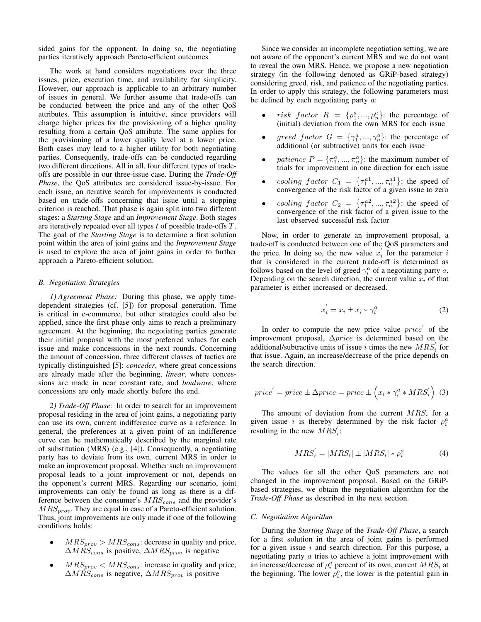sided gains for the opponent. In doing so, the negotiating parties iteratively approach Pareto-efficient outcomes.

The work at hand considers negotiations over the three issues, price, execution time, and availability for simplicity. However, our approach is applicable to an arbitrary number of issues in general. We further assume that trade-offs can be conducted between the price and any of the other QoS attributes. This assumption is intuitive, since providers will charge higher prices for the provisioning of a higher quality resulting from a certain QoS attribute. The same applies for the provisioning of a lower quality level at a lower price. Both cases may lead to a higher utility for both negotiating parties. Consequently, trade-offs can be conducted regarding two different directions. All in all, four different types of tradeoffs are possible in our three-issue case. During the *Trade-Off Phase*, the QoS attributes are considered issue-by-issue. For each issue, an iterative search for improvements is conducted based on trade-offs concerning that issue until a stopping criterion is reached. That phase is again split into two different stages: a *Starting Stage* and an *Improvement Stage*. Both stages are iteratively repeated over all types  $t$  of possible trade-offs  $T$ . The goal of the *Starting Stage* is to determine a first solution point within the area of joint gains and the *Improvement Stage* is used to explore the area of joint gains in order to further approach a Pareto-efficient solution.

## *B. Negotiation Strategies*

*1) Agreement Phase:* During this phase, we apply timedependent strategies (cf. [5]) for proposal generation. Time is critical in e-commerce, but other strategies could also be applied, since the first phase only aims to reach a preliminary agreement. At the beginning, the negotiating parties generate their initial proposal with the most preferred values for each issue and make concessions in the next rounds. Concerning the amount of concession, three different classes of tactics are typically distinguished [5]: *conceder*, where great concessions are already made after the beginning, *linear*, where concessions are made in near constant rate, and *boulware*, where concessions are only made shortly before the end.

*2) Trade-Off Phase:* In order to search for an improvement proposal residing in the area of joint gains, a negotiating party can use its own, current indifference curve as a reference. In general, the preferences at a given point of an indifference curve can be mathematically described by the marginal rate of substitution (MRS) (e.g., [4]). Consequently, a negotiating party has to deviate from its own, current MRS in order to make an improvement proposal. Whether such an improvement proposal leads to a joint improvement or not, depends on the opponent's current MRS. Regarding our scenario, joint improvements can only be found as long as there is a difference between the consumer's  $MRS_{cons}$  and the provider's  $MRS_{prov}$ . They are equal in case of a Pareto-efficient solution. Thus, joint improvements are only made if one of the following conditions holds:

- $MRS_{prov} > MRS_{cons}$ : decrease in quality and price,  $\Delta MRS_{cons}$  is positive,  $\Delta MRS_{prov}$  is negative
- $MRS_{prov} < MRS_{cons}$ : increase in quality and price,  $\Delta MRS_{cons}$  is negative,  $\Delta MRS_{prov}$  is positive

Since we consider an incomplete negotiation setting, we are not aware of the opponent's current MRS and we do not want to reveal the own MRS. Hence, we propose a new negotiation strategy (in the following denoted as GRiP-based strategy) considering greed, risk, and patience of the negotiating parties. In order to apply this strategy, the following parameters must be defined by each negotiating party  $a$ :

- risk factor  $R = \{\rho_1^a, ..., \rho_n^a\}$ : the percentage of (initial) deviation from the own MRS for each issue
- greed factor  $G = \{\gamma_1^a, ..., \gamma_n^a\}$ : the percentage of additional (or subtractive) units for each issue
- *patience*  $P = {\pi_1^a, ..., \pi_n^a}$ : the maximum number of trials for improvement in one direction for each issue
- cooling factor  $C_1 = \{\tau_1^{a_1}, ..., \tau_n^{a_1}\}$ : the speed of convergence of the risk factor of a given issue to zero
- cooling factor  $C_2 = {\tau_1^{a_2}, ..., \tau_n^{a_2}}$ : the speed of convergence of the risk factor of a given issue to the last observed successful risk factor

Now, in order to generate an improvement proposal, a trade-off is conducted between one of the QoS parameters and the price. In doing so, the new value  $x'_{i}$  for the parameter i that is considered in the current trade-off is determined as follows based on the level of greed  $\gamma_i^a$  of a negotiating party a. Depending on the search direction, the current value  $x_i$  of that parameter is either increased or decreased.

$$
x_i' = x_i \pm x_i * \gamma_i^a \tag{2}
$$

In order to compute the new price value  $price'$  of the improvement proposal, ∆price is determined based on the additional/subtractive units of issue i times the new  $MRS'_i$  for that issue. Again, an increase/decrease of the price depends on the search direction.

$$
price' = price \pm \Delta price = price \pm \left(x_i * \gamma_i^a * MRS_i'\right) \tag{3}
$$

The amount of deviation from the current  $MRS_i$  for a given issue *i* is thereby determined by the risk factor  $\rho_i^a$ resulting in the new  $MRS_i$ :

$$
MRS_i' = |MRS_i| \pm |MRS_i| * \rho_i^a \tag{4}
$$

The values for all the other QoS parameters are not changed in the improvement proposal. Based on the GRiPbased strategies, we obtain the negotiation algorithm for the *Trade-Off Phase* as described in the next section.

## *C. Negotiation Algorithm*

During the *Starting Stage* of the *Trade-Off Phase*, a search for a first solution in the area of joint gains is performed for a given issue  $i$  and search direction. For this purpose, a negotiating party a tries to achieve a joint improvement with an increase/decrease of  $\rho_i^a$  percent of its own, current  $MRS_i$  at the beginning. The lower  $\rho_i^a$ , the lower is the potential gain in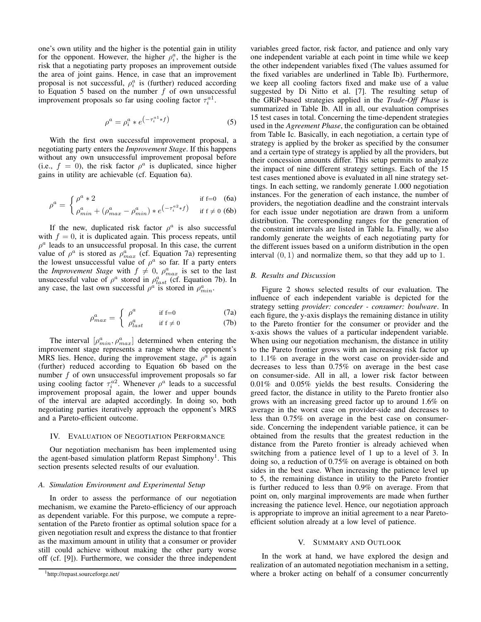one's own utility and the higher is the potential gain in utility for the opponent. However, the higher  $\rho_i^a$ , the higher is the risk that a negotiating party proposes an improvement outside the area of joint gains. Hence, in case that an improvement proposal is not successful,  $\rho_i^a$  is (further) reduced according to Equation 5 based on the number  $f$  of own unsuccessful improvement proposals so far using cooling factor  $\tau_i^{a_1}$ .

$$
\rho^a = \rho_i^a * e^{\left(-\tau_i^{a1} * f\right)} \tag{5}
$$

With the first own successful improvement proposal, a negotiating party enters the *Improvement Stage*. If this happens without any own unsuccessful improvement proposal before (i.e.,  $f = 0$ ), the risk factor  $\rho^a$  is duplicated, since higher gains in utility are achievable (cf. Equation 6a).

$$
\rho^{a} = \begin{cases} \rho^{a} * 2 & \text{if f=0} \quad (6a) \\ \rho_{min}^{a} + (\rho_{max}^{a} - \rho_{min}^{a}) * e^{-\tau_{i}^{a} * f} & \text{if f \neq 0} \quad (6b) \end{cases}
$$

If the new, duplicated risk factor  $\rho^a$  is also successful with  $f = 0$ , it is duplicated again. This process repeats, until  $\rho^a$  leads to an unsuccessful proposal. In this case, the current value of  $\rho^a$  is stored as  $\rho_{max}^a$  (cf. Equation 7a) representing the lowest unsuccessful value of  $\rho^a$  so far. If a party enters the *Improvement Stage* with  $f \neq 0$ ,  $\rho_{max}^a$  is set to the last unsuccessful value of  $\rho^a$  stored in  $\rho^a_{last}$  (cf. Equation 7b). In any case, the last own successful  $\rho^a$  is stored in  $\rho^a_{min}$ .

$$
\rho_{max}^a = \begin{cases}\n\rho^a & \text{if f=0} \\
\rho_{last}^a & \text{if f \neq 0}\n\end{cases}
$$
\n(7a)

The interval  $[\rho_{min}^a, \rho_{max}^a]$  determined when entering the improvement stage represents a range where the opponent's MRS lies. Hence, during the improvement stage,  $\rho^{\hat{a}}$  is again (further) reduced according to Equation 6b based on the number  $f$  of own unsuccessful improvement proposals so far using cooling factor  $\tau_i^{a2}$ . Whenever  $\rho^a$  leads to a successful improvement proposal again, the lower and upper bounds of the interval are adapted accordingly. In doing so, both negotiating parties iteratively approach the opponent's MRS and a Pareto-efficient outcome.

# IV. EVALUATION OF NEGOTIATION PERFORMANCE

Our negotiation mechanism has been implemented using the agent-based simulation platform Repast Simphony<sup>1</sup>. This section presents selected results of our evaluation.

### *A. Simulation Environment and Experimental Setup*

In order to assess the performance of our negotiation mechanism, we examine the Pareto-efficiency of our approach as dependent variable. For this purpose, we compute a representation of the Pareto frontier as optimal solution space for a given negotiation result and express the distance to that frontier as the maximum amount in utility that a consumer or provider still could achieve without making the other party worse off (cf. [9]). Furthermore, we consider the three independent variables greed factor, risk factor, and patience and only vary one independent variable at each point in time while we keep the other independent variables fixed (The values assumed for the fixed variables are underlined in Table Ib). Furthermore, we keep all cooling factors fixed and make use of a value suggested by Di Nitto et al. [7]. The resulting setup of the GRiP-based strategies applied in the *Trade-Off Phase* is summarized in Table Ib. All in all, our evaluation comprises 15 test cases in total. Concerning the time-dependent strategies used in the *Agreement Phase*, the configuration can be obtained from Table Ic. Basically, in each negotiation, a certain type of strategy is applied by the broker as specified by the consumer and a certain type of strategy is applied by all the providers, but their concession amounts differ. This setup permits to analyze the impact of nine different strategy settings. Each of the 15 test cases mentioned above is evaluated in all nine strategy settings. In each setting, we randomly generate 1.000 negotiation instances. For the generation of each instance, the number of providers, the negotiation deadline and the constraint intervals for each issue under negotiation are drawn from a uniform distribution. The corresponding ranges for the generation of the constraint intervals are listed in Table Ia. Finally, we also randomly generate the weights of each negotiating party for the different issues based on a uniform distribution in the open interval  $(0, 1)$  and normalize them, so that they add up to 1.

## *B. Results and Discussion*

Figure 2 shows selected results of our evaluation. The influence of each independent variable is depicted for the strategy setting *provider: conceder - consumer: boulware*. In each figure, the y-axis displays the remaining distance in utility to the Pareto frontier for the consumer or provider and the x-axis shows the values of a particular independent variable. When using our negotiation mechanism, the distance in utility to the Pareto frontier grows with an increasing risk factor up to 1.1% on average in the worst case on provider-side and decreases to less than 0.75% on average in the best case on consumer-side. All in all, a lower risk factor between 0.01% and 0.05% yields the best results. Considering the greed factor, the distance in utility to the Pareto frontier also grows with an increasing greed factor up to around 1.6% on average in the worst case on provider-side and decreases to less than 0.75% on average in the best case on consumerside. Concerning the independent variable patience, it can be obtained from the results that the greatest reduction in the distance from the Pareto frontier is already achieved when switching from a patience level of 1 up to a level of 3. In doing so, a reduction of 0.75% on average is obtained on both sides in the best case. When increasing the patience level up to 5, the remaining distance in utility to the Pareto frontier is further reduced to less than 0.9% on average. From that point on, only marginal improvements are made when further increasing the patience level. Hence, our negotiation approach is appropriate to improve an initial agreement to a near Paretoefficient solution already at a low level of patience.

## V. SUMMARY AND OUTLOOK

In the work at hand, we have explored the design and realization of an automated negotiation mechanism in a setting, where a broker acting on behalf of a consumer concurrently

<sup>1</sup>http://repast.sourceforge.net/